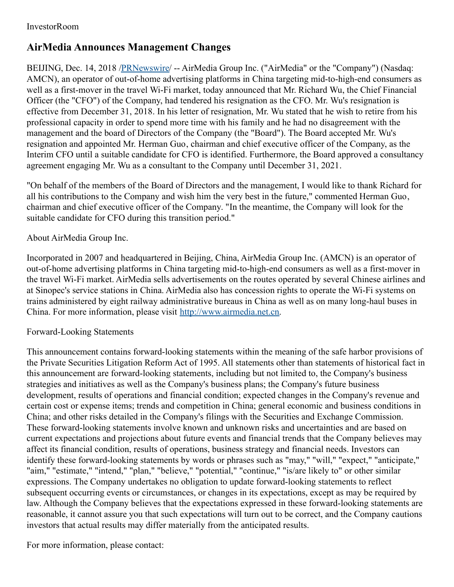## **AirMedia Announces Management Changes**

BEIJING, Dec. 14, 2018 [/PRNewswire](http://www.prnewswire.com/)/ -- AirMedia Group Inc. ("AirMedia" or the "Company") (Nasdaq: AMCN), an operator of out-of-home advertising platforms in China targeting mid-to-high-end consumers as well as a first-mover in the travel Wi-Fi market, today announced that Mr. Richard Wu, the Chief Financial Officer (the "CFO") of the Company, had tendered his resignation as the CFO. Mr. Wu's resignation is effective from December 31, 2018. In his letter of resignation, Mr. Wu stated that he wish to retire from his professional capacity in order to spend more time with his family and he had no disagreement with the management and the board of Directors of the Company (the "Board"). The Board accepted Mr. Wu's resignation and appointed Mr. Herman Guo, chairman and chief executive officer of the Company, as the Interim CFO until a suitable candidate for CFO is identified. Furthermore, the Board approved a consultancy agreement engaging Mr. Wu as a consultant to the Company until December 31, 2021.

"On behalf of the members of the Board of Directors and the management, I would like to thank Richard for all his contributions to the Company and wish him the very best in the future," commented Herman Guo, chairman and chief executive officer of the Company. "In the meantime, the Company will look for the suitable candidate for CFO during this transition period."

## About AirMedia Group Inc.

Incorporated in 2007 and headquartered in Beijing, China, AirMedia Group Inc. (AMCN) is an operator of out-of-home advertising platforms in China targeting mid-to-high-end consumers as well as a first-mover in the travel Wi-Fi market. AirMedia sells advertisements on the routes operated by several Chinese airlines and at Sinopec's service stations in China. AirMedia also has concession rights to operate the Wi-Fi systems on trains administered by eight railway administrative bureaus in China as well as on many long-haul buses in China. For more information, please visit [http://www.airmedia.net.cn](http://www.airmedia.net.cn/).

## Forward-Looking Statements

This announcement contains forward-looking statements within the meaning of the safe harbor provisions of the Private Securities Litigation Reform Act of 1995. All statements other than statements of historical fact in this announcement are forward-looking statements, including but not limited to, the Company's business strategies and initiatives as well as the Company's business plans; the Company's future business development, results of operations and financial condition; expected changes in the Company's revenue and certain cost or expense items; trends and competition in China; general economic and business conditions in China; and other risks detailed in the Company's filings with the Securities and Exchange Commission. These forward-looking statements involve known and unknown risks and uncertainties and are based on current expectations and projections about future events and financial trends that the Company believes may affect its financial condition, results of operations, business strategy and financial needs. Investors can identify these forward-looking statements by words or phrases such as "may," "will," "expect," "anticipate," "aim," "estimate," "intend," "plan," "believe," "potential," "continue," "is/are likely to" or other similar expressions. The Company undertakes no obligation to update forward-looking statements to reflect subsequent occurring events or circumstances, or changes in its expectations, except as may be required by law. Although the Company believes that the expectations expressed in these forward-looking statements are reasonable, it cannot assure you that such expectations will turn out to be correct, and the Company cautions investors that actual results may differ materially from the anticipated results.

For more information, please contact: